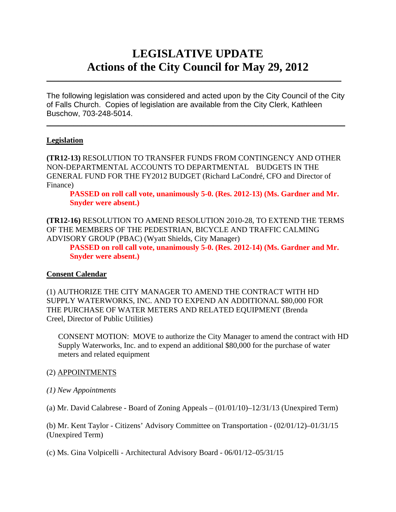# **LEGISLATIVE UPDATE Actions of the City Council for May 29, 2012**

The following legislation was considered and acted upon by the City Council of the City of Falls Church. Copies of legislation are available from the City Clerk, Kathleen Buschow, 703-248-5014.

 $\blacksquare$ 

 $\mathcal{L}_\text{max}$  and  $\mathcal{L}_\text{max}$  and  $\mathcal{L}_\text{max}$  and  $\mathcal{L}_\text{max}$  and  $\mathcal{L}_\text{max}$  and  $\mathcal{L}_\text{max}$ 

## **Legislation**

**(TR12-13)** RESOLUTION TO TRANSFER FUNDS FROM CONTINGENCY AND OTHER NON-DEPARTMENTAL ACCOUNTS TO DEPARTMENTAL BUDGETS IN THE GENERAL FUND FOR THE FY2012 BUDGET (Richard LaCondré, CFO and Director of Finance)

 **PASSED on roll call vote, unanimously 5-0. (Res. 2012-13) (Ms. Gardner and Mr. Snyder were absent.)** 

**(TR12-16)** RESOLUTION TO AMEND RESOLUTION 2010-28, TO EXTEND THE TERMS OF THE MEMBERS OF THE PEDESTRIAN, BICYCLE AND TRAFFIC CALMING ADVISORY GROUP (PBAC) (Wyatt Shields, City Manager)

 **PASSED on roll call vote, unanimously 5-0. (Res. 2012-14) (Ms. Gardner and Mr. Snyder were absent.)** 

## **Consent Calendar**

(1) AUTHORIZE THE CITY MANAGER TO AMEND THE CONTRACT WITH HD SUPPLY WATERWORKS, INC. AND TO EXPEND AN ADDITIONAL \$80,000 FOR THE PURCHASE OF WATER METERS AND RELATED EQUIPMENT (Brenda Creel, Director of Public Utilities)

CONSENT MOTION: MOVE to authorize the City Manager to amend the contract with HD Supply Waterworks, Inc. and to expend an additional \$80,000 for the purchase of water meters and related equipment

## (2) APPOINTMENTS

- *(1) New Appointments*
- (a) Mr. David Calabrese Board of Zoning Appeals  $(01/01/10) 12/31/13$  (Unexpired Term)

(b) Mr. Kent Taylor - Citizens' Advisory Committee on Transportation - (02/01/12)–01/31/15 (Unexpired Term)

(c) Ms. Gina Volpicelli - Architectural Advisory Board - 06/01/12–05/31/15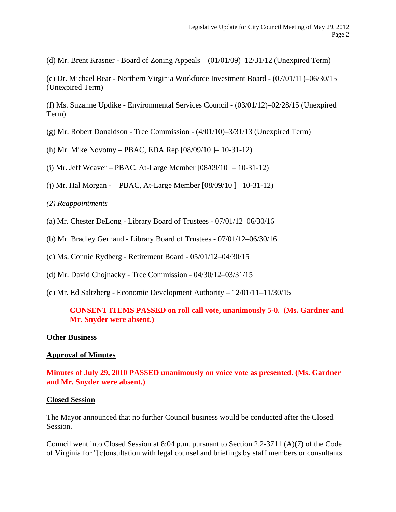(d) Mr. Brent Krasner - Board of Zoning Appeals  $- (01/01/09) - 12/31/12$  (Unexpired Term)

(e) Dr. Michael Bear - Northern Virginia Workforce Investment Board - (07/01/11)–06/30/15 (Unexpired Term)

(f) Ms. Suzanne Updike - Environmental Services Council - (03/01/12)–02/28/15 (Unexpired Term)

- (g) Mr. Robert Donaldson Tree Commission  $(4/01/10)$ –3/31/13 (Unexpired Term)
- (h) Mr. Mike Novotny PBAC, EDA Rep [08/09/10 ]– 10-31-12)

(i) Mr. Jeff Weaver – PBAC, At-Large Member [08/09/10 ]– 10-31-12)

(j) Mr. Hal Morgan - – PBAC, At-Large Member [08/09/10 ]– 10-31-12)

#### *(2) Reappointments*

- (a) Mr. Chester DeLong Library Board of Trustees 07/01/12–06/30/16
- (b) Mr. Bradley Gernand Library Board of Trustees 07/01/12–06/30/16
- (c) Ms. Connie Rydberg Retirement Board 05/01/12–04/30/15
- (d) Mr. David Chojnacky Tree Commission 04/30/12–03/31/15
- (e) Mr. Ed Saltzberg Economic Development Authority 12/01/11–11/30/15

#### **CONSENT ITEMS PASSED on roll call vote, unanimously 5-0. (Ms. Gardner and Mr. Snyder were absent.)**

#### **Other Business**

#### **Approval of Minutes**

**Minutes of July 29, 2010 PASSED unanimously on voice vote as presented. (Ms. Gardner and Mr. Snyder were absent.)** 

#### **Closed Session**

The Mayor announced that no further Council business would be conducted after the Closed Session.

Council went into Closed Session at 8:04 p.m. pursuant to Section 2.2-3711 (A)(7) of the Code of Virginia for "[c]onsultation with legal counsel and briefings by staff members or consultants